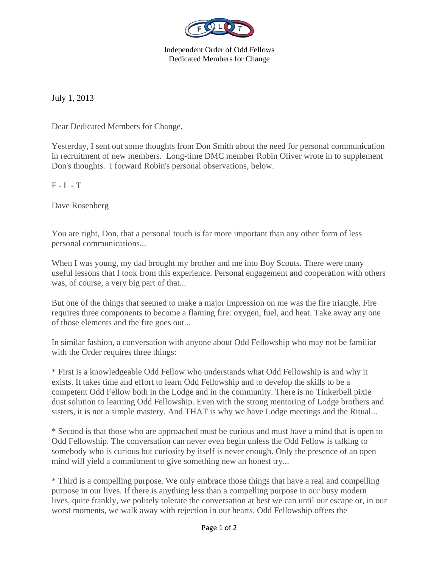

Independent Order of Odd Fellows Dedicated Members for Change

July 1, 2013

Dear Dedicated Members for Change,

Yesterday, I sent out some thoughts from Don Smith about the need for personal communication in recruitment of new members. Long-time DMC member Robin Oliver wrote in to supplement Don's thoughts. I forward Robin's personal observations, below.

 $F - L - T$ 

Dave Rosenberg

You are right, Don, that a personal touch is far more important than any other form of less personal communications...

When I was young, my dad brought my brother and me into Boy Scouts. There were many useful lessons that I took from this experience. Personal engagement and cooperation with others was, of course, a very big part of that...

But one of the things that seemed to make a major impression on me was the fire triangle. Fire requires three components to become a flaming fire: oxygen, fuel, and heat. Take away any one of those elements and the fire goes out...

In similar fashion, a conversation with anyone about Odd Fellowship who may not be familiar with the Order requires three things:

\* First is a knowledgeable Odd Fellow who understands what Odd Fellowship is and why it exists. It takes time and effort to learn Odd Fellowship and to develop the skills to be a competent Odd Fellow both in the Lodge and in the community. There is no Tinkerbell pixie dust solution to learning Odd Fellowship. Even with the strong mentoring of Lodge brothers and sisters, it is not a simple mastery. And THAT is why we have Lodge meetings and the Ritual...

\* Second is that those who are approached must be curious and must have a mind that is open to Odd Fellowship. The conversation can never even begin unless the Odd Fellow is talking to somebody who is curious but curiosity by itself is never enough. Only the presence of an open mind will yield a commitment to give something new an honest try...

\* Third is a compelling purpose. We only embrace those things that have a real and compelling purpose in our lives. If there is anything less than a compelling purpose in our busy modern lives, quite frankly, we politely tolerate the conversation at best we can until our escape or, in our worst moments, we walk away with rejection in our hearts. Odd Fellowship offers the